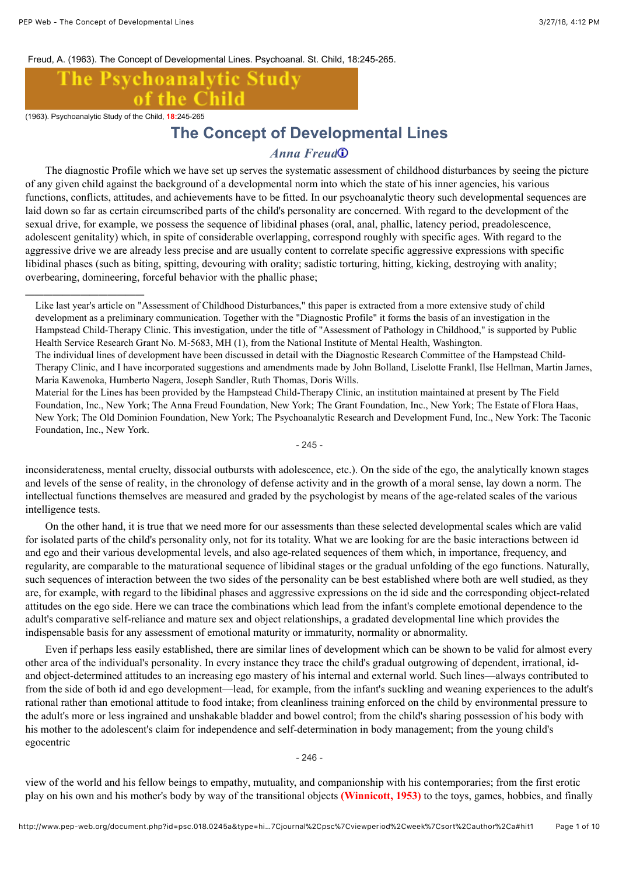Freud, A. (1963). The Concept of Developmental Lines. Psychoanal. St. Child, 18:245-265.

# 'he Psvchoanalvtic Studv the Child

[\(1963\). Psychoanalytic Study of the Child,](http://support.pep-web.org/) **[18:](http://www.pep-web.org/search.php?volume=18&journal=psc)**245-265

—————————————

# **[The Concept of Developmental Lines](http://www.pep-web.org/toc.php?journal=psc&volume=18#245)**

### *[Anna Freud](http://www.pep-web.org/search.php?author=%22Freud%2C+A.%22)*

The diagnostic Profile which we have set up serves the systematic assessment of childhood disturbances by seeing the picture of any given child against the background of a developmental norm into which the state of his inner agencies, his various functions, conflicts, attitudes, and achievements have to be fitted. In our psychoanalytic theory such developmental sequences are laid down so far as certain circumscribed parts of the child's personality are concerned. With regard to the development of the sexual drive, for example, we possess the sequence of libidinal phases (oral, anal, phallic, latency period, preadolescence, adolescent genitality) which, in spite of considerable overlapping, correspond roughly with specific ages. With regard to the aggressive drive we are already less precise and are usually content to correlate specific aggressive expressions with specific libidinal phases (such as biting, spitting, devouring with orality; sadistic torturing, hitting, kicking, destroying with anality; overbearing, domineering, forceful behavior with the phallic phase;

- 245 -

inconsiderateness, mental cruelty, dissocial outbursts with adolescence, etc.). On the side of the ego, the analytically known stages and levels of the sense of reality, in the chronology of defense activity and in the growth of a moral sense, lay down a norm. The intellectual functions themselves are measured and graded by the psychologist by means of the age-related scales of the various intelligence tests.

On the other hand, it is true that we need more for our assessments than these selected developmental scales which are valid for isolated parts of the child's personality only, not for its totality. What we are looking for are the basic interactions between id and ego and their various developmental levels, and also age-related sequences of them which, in importance, frequency, and regularity, are comparable to the maturational sequence of libidinal stages or the gradual unfolding of the ego functions. Naturally, such sequences of interaction between the two sides of the personality can be best established where both are well studied, as they are, for example, with regard to the libidinal phases and aggressive expressions on the id side and the corresponding object-related attitudes on the ego side. Here we can trace the combinations which lead from the infant's complete emotional dependence to the adult's comparative self-reliance and mature sex and object relationships, a gradated developmental line which provides the indispensable basis for any assessment of emotional maturity or immaturity, normality or abnormality.

Even if perhaps less easily established, there are similar lines of development which can be shown to be valid for almost every other area of the individual's personality. In every instance they trace the child's gradual outgrowing of dependent, irrational, idand object-determined attitudes to an increasing ego mastery of his internal and external world. Such lines—always contributed to from the side of both id and ego development—lead, for example, from the infant's suckling and weaning experiences to the adult's rational rather than emotional attitude to food intake; from cleanliness training enforced on the child by environmental pressure to the adult's more or less ingrained and unshakable bladder and bowel control; from the child's sharing possession of his body with his mother to the adolescent's claim for independence and self-determination in body management; from the young child's egocentric

#### - 246 -

view of the world and his fellow beings to empathy, mutuality, and companionship with his contemporaries; from the first erotic play on his own and his mother's body by way of the transitional objects **(Winnicott, 1953)** to the toys, games, hobbies, and finally

Like last year's article on "Assessment of Childhood Disturbances," this paper is extracted from a more extensive study of child development as a preliminary communication. Together with the "Diagnostic Profile" it forms the basis of an investigation in the Hampstead Child-Therapy Clinic. This investigation, under the title of "Assessment of Pathology in Childhood," is supported by Public Health Service Research Grant No. M-5683, MH (1), from the National Institute of Mental Health, Washington.

The individual lines of development have been discussed in detail with the Diagnostic Research Committee of the Hampstead Child-Therapy Clinic, and I have incorporated suggestions and amendments made by John Bolland, Liselotte Frankl, Ilse Hellman, Martin James, Maria Kawenoka, Humberto Nagera, Joseph Sandler, Ruth Thomas, Doris Wills.

Material for the Lines has been provided by the Hampstead Child-Therapy Clinic, an institution maintained at present by The Field Foundation, Inc., New York; The Anna Freud Foundation, New York; The Grant Foundation, Inc., New York; The Estate of Flora Haas, New York; The Old Dominion Foundation, New York; The Psychoanalytic Research and Development Fund, Inc., New York: The Taconic Foundation, Inc., New York.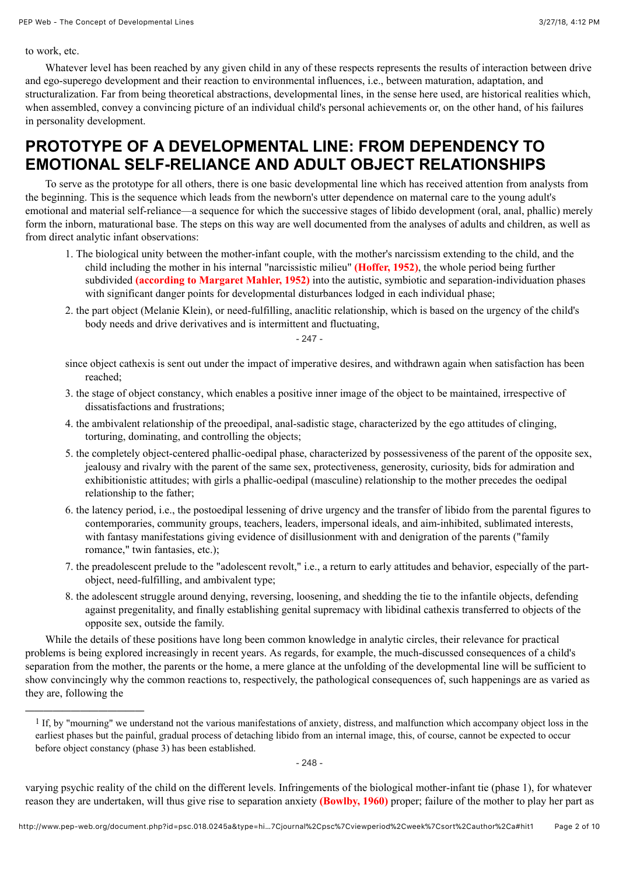—————————————

to work, etc.

Whatever level has been reached by any given child in any of these respects represents the results of interaction between drive and ego-superego development and their reaction to environmental influences, i.e., between maturation, adaptation, and structuralization. Far from being theoretical abstractions, developmental lines, in the sense here used, are historical realities which, when assembled, convey a convincing picture of an individual child's personal achievements or, on the other hand, of his failures in personality development.

# **PROTOTYPE OF A DEVELOPMENTAL LINE: FROM DEPENDENCY TO EMOTIONAL SELF-RELIANCE AND ADULT OBJECT RELATIONSHIPS**

To serve as the prototype for all others, there is one basic developmental line which has received attention from analysts from the beginning. This is the sequence which leads from the newborn's utter dependence on maternal care to the young adult's emotional and material self-reliance—a sequence for which the successive stages of libido development (oral, anal, phallic) merely form the inborn, maturational base. The steps on this way are well documented from the analyses of adults and children, as well as from direct analytic infant observations:

- 1. The biological unity between the mother-infant couple, with the mother's narcissism extending to the child, and the child including the mother in his internal "narcissistic milieu" **(Hoffer, 1952)**, the whole period being further subdivided **(according to Margaret Mahler, 1952)** into the autistic, symbiotic and separation-individuation phases with significant danger points for developmental disturbances lodged in each individual phase;
- 2. the part object (Melanie Klein), or need-fulfilling, anaclitic relationship, which is based on the urgency of the child's body needs and drive derivatives and is intermittent and fluctuating,

- 247 -

- since object cathexis is sent out under the impact of imperative desires, and withdrawn again when satisfaction has been reached;
- 3. the stage of object constancy, which enables a positive inner image of the object to be maintained, irrespective of dissatisfactions and frustrations;
- 4. the ambivalent relationship of the preoedipal, anal-sadistic stage, characterized by the ego attitudes of clinging, torturing, dominating, and controlling the objects;
- 5. the completely object-centered phallic-oedipal phase, characterized by possessiveness of the parent of the opposite sex, jealousy and rivalry with the parent of the same sex, protectiveness, generosity, curiosity, bids for admiration and exhibitionistic attitudes; with girls a phallic-oedipal (masculine) relationship to the mother precedes the oedipal relationship to the father;
- 6. the latency period, i.e., the postoedipal lessening of drive urgency and the transfer of libido from the parental figures to contemporaries, community groups, teachers, leaders, impersonal ideals, and aim-inhibited, sublimated interests, with fantasy manifestations giving evidence of disillusionment with and denigration of the parents ("family romance," twin fantasies, etc.);
- 7. the preadolescent prelude to the "adolescent revolt," i.e., a return to early attitudes and behavior, especially of the partobject, need-fulfilling, and ambivalent type;
- 8. the adolescent struggle around denying, reversing, loosening, and shedding the tie to the infantile objects, defending against pregenitality, and finally establishing genital supremacy with libidinal cathexis transferred to objects of the opposite sex, outside the family.

While the details of these positions have long been common knowledge in analytic circles, their relevance for practical problems is being explored increasingly in recent years. As regards, for example, the much-discussed consequences of a child's separation from the mother, the parents or the home, a mere glance at the unfolding of the developmental line will be sufficient to show convincingly why the common reactions to, respectively, the pathological consequences of, such happenings are as varied as they are, following the

- 248 -

varying psychic reality of the child on the different levels. Infringements of the biological mother-infant tie (phase 1), for whatever reason they are undertaken, will thus give rise to separation anxiety **(Bowlby, 1960)** proper; failure of the mother to play her part as

 $<sup>1</sup>$  If, by "mourning" we understand not the various manifestations of anxiety, distress, and malfunction which accompany object loss in the</sup> earliest phases but the painful, gradual process of detaching libido from an internal image, this, of course, cannot be expected to occur before object constancy (phase 3) has been established.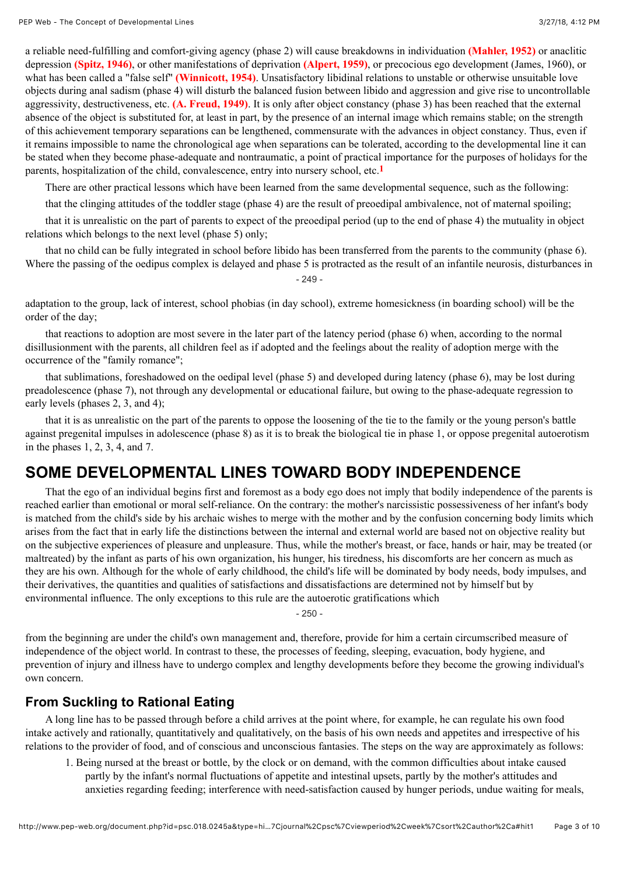a reliable need-fulfilling and comfort-giving agency (phase 2) will cause breakdowns in individuation **(Mahler, 1952)** or anaclitic depression **(Spitz, 1946)**, or other manifestations of deprivation **(Alpert, 1959)**, or precocious ego development (James, 1960), or what has been called a "false self" **(Winnicott, 1954)**. Unsatisfactory libidinal relations to unstable or otherwise unsuitable love objects during anal sadism (phase 4) will disturb the balanced fusion between libido and aggression and give rise to uncontrollable aggressivity, destructiveness, etc. **(A. Freud, 1949)**. It is only after object constancy (phase 3) has been reached that the external absence of the object is substituted for, at least in part, by the presence of an internal image which remains stable; on the strength of this achievement temporary separations can be lengthened, commensurate with the advances in object constancy. Thus, even if it remains impossible to name the chronological age when separations can be tolerated, according to the developmental line it can be stated when they become phase-adequate and nontraumatic, a point of practical importance for the purposes of holidays for the parents, hospitalization of the child, convalescence, entry into nursery school, etc. **1**

There are other practical lessons which have been learned from the same developmental sequence, such as the following:

that the clinging attitudes of the toddler stage (phase 4) are the result of preoedipal ambivalence, not of maternal spoiling;

that it is unrealistic on the part of parents to expect of the preoedipal period (up to the end of phase 4) the mutuality in object relations which belongs to the next level (phase 5) only;

that no child can be fully integrated in school before libido has been transferred from the parents to the community (phase 6). Where the passing of the oedipus complex is delayed and phase 5 is protracted as the result of an infantile neurosis, disturbances in - 249 -

adaptation to the group, lack of interest, school phobias (in day school), extreme homesickness (in boarding school) will be the order of the day;

that reactions to adoption are most severe in the later part of the latency period (phase 6) when, according to the normal disillusionment with the parents, all children feel as if adopted and the feelings about the reality of adoption merge with the occurrence of the "family romance";

that sublimations, foreshadowed on the oedipal level (phase 5) and developed during latency (phase 6), may be lost during preadolescence (phase 7), not through any developmental or educational failure, but owing to the phase-adequate regression to early levels (phases 2, 3, and 4);

that it is as unrealistic on the part of the parents to oppose the loosening of the tie to the family or the young person's battle against pregenital impulses in adolescence (phase 8) as it is to break the biological tie in phase 1, or oppose pregenital autoerotism in the phases 1, 2, 3, 4, and 7.

## **SOME DEVELOPMENTAL LINES TOWARD BODY INDEPENDENCE**

That the ego of an individual begins first and foremost as a body ego does not imply that bodily independence of the parents is reached earlier than emotional or moral self-reliance. On the contrary: the mother's narcissistic possessiveness of her infant's body is matched from the child's side by his archaic wishes to merge with the mother and by the confusion concerning body limits which arises from the fact that in early life the distinctions between the internal and external world are based not on objective reality but on the subjective experiences of pleasure and unpleasure. Thus, while the mother's breast, or face, hands or hair, may be treated (or maltreated) by the infant as parts of his own organization, his hunger, his tiredness, his discomforts are her concern as much as they are his own. Although for the whole of early childhood, the child's life will be dominated by body needs, body impulses, and their derivatives, the quantities and qualities of satisfactions and dissatisfactions are determined not by himself but by environmental influence. The only exceptions to this rule are the autoerotic gratifications which

 $-250 -$ 

from the beginning are under the child's own management and, therefore, provide for him a certain circumscribed measure of independence of the object world. In contrast to these, the processes of feeding, sleeping, evacuation, body hygiene, and prevention of injury and illness have to undergo complex and lengthy developments before they become the growing individual's own concern.

## **From Suckling to Rational Eating**

A long line has to be passed through before a child arrives at the point where, for example, he can regulate his own food intake actively and rationally, quantitatively and qualitatively, on the basis of his own needs and appetites and irrespective of his relations to the provider of food, and of conscious and unconscious fantasies. The steps on the way are approximately as follows:

1. Being nursed at the breast or bottle, by the clock or on demand, with the common difficulties about intake caused partly by the infant's normal fluctuations of appetite and intestinal upsets, partly by the mother's attitudes and anxieties regarding feeding; interference with need-satisfaction caused by hunger periods, undue waiting for meals,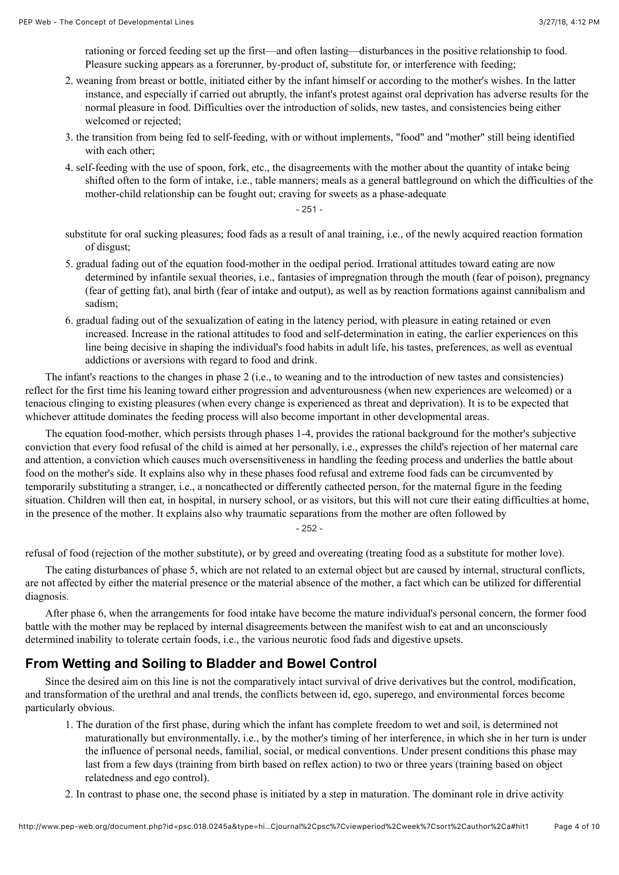rationing or forced feeding set up the first—and often lasting—disturbances in the positive relationship to food. Pleasure sucking appears as a forerunner, by-product of, substitute for, or interference with feeding;

- 2. weaning from breast or bottle, initiated either by the infant himself or according to the mother's wishes. In the latter instance, and especially if carried out abruptly, the infant's protest against oral deprivation has adverse results for the normal pleasure in food. Difficulties over the introduction of solids, new tastes, and consistencies being either welcomed or rejected;
- 3. the transition from being fed to self-feeding, with or without implements, "food" and "mother" still being identified with each other;
- 4. self-feeding with the use of spoon, fork, etc., the disagreements with the mother about the quantity of intake being shifted often to the form of intake, i.e., table manners; meals as a general battleground on which the difficulties of the mother-child relationship can be fought out; craving for sweets as a phase-adequate

- 251 -

- substitute for oral sucking pleasures; food fads as a result of anal training, i.e., of the newly acquired reaction formation of disgust;
- 5. gradual fading out of the equation food-mother in the oedipal period. Irrational attitudes toward eating are now determined by infantile sexual theories, i.e., fantasies of impregnation through the mouth (fear of poison), pregnancy (fear of getting fat), anal birth (fear of intake and output), as well as by reaction formations against cannibalism and sadism;
- 6. gradual fading out of the sexualization of eating in the latency period, with pleasure in eating retained or even increased. Increase in the rational attitudes to food and self-determination in eating, the earlier experiences on this line being decisive in shaping the individual's food habits in adult life, his tastes, preferences, as well as eventual addictions or aversions with regard to food and drink.

The infant's reactions to the changes in phase 2 (i.e., to weaning and to the introduction of new tastes and consistencies) reflect for the first time his leaning toward either progression and adventurousness (when new experiences are welcomed) or a tenacious clinging to existing pleasures (when every change is experienced as threat and deprivation). It is to be expected that whichever attitude dominates the feeding process will also become important in other developmental areas.

The equation food-mother, which persists through phases 1-4, provides the rational background for the mother's subjective conviction that every food refusal of the child is aimed at her personally, i.e., expresses the child's rejection of her maternal care and attention, a conviction which causes much oversensitiveness in handling the feeding process and underlies the battle about food on the mother's side. It explains also why in these phases food refusal and extreme food fads can be circumvented by temporarily substituting a stranger, i.e., a noncathected or differently cathected person, for the maternal figure in the feeding situation. Children will then eat, in hospital, in nursery school, or as visitors, but this will not cure their eating difficulties at home, in the presence of the mother. It explains also why traumatic separations from the mother are often followed by

- 252 -

refusal of food (rejection of the mother substitute), or by greed and overeating (treating food as a substitute for mother love).

The eating disturbances of phase 5, which are not related to an external object but are caused by internal, structural conflicts, are not affected by either the material presence or the material absence of the mother, a fact which can be utilized for differential diagnosis.

After phase 6, when the arrangements for food intake have become the mature individual's personal concern, the former food battle with the mother may be replaced by internal disagreements between the manifest wish to eat and an unconsciously determined inability to tolerate certain foods, i.e., the various neurotic food fads and digestive upsets.

# **From Wetting and Soiling to Bladder and Bowel Control**

Since the desired aim on this line is not the comparatively intact survival of drive derivatives but the control, modification, and transformation of the urethral and anal trends, the conflicts between id, ego, superego, and environmental forces become particularly obvious.

- 1. The duration of the first phase, during which the infant has complete freedom to wet and soil, is determined not maturationally but environmentally, i.e., by the mother's timing of her interference, in which she in her turn is under the influence of personal needs, familial, social, or medical conventions. Under present conditions this phase may last from a few days (training from birth based on reflex action) to two or three years (training based on object relatedness and ego control).
- 2. In contrast to phase one, the second phase is initiated by a step in maturation. The dominant role in drive activity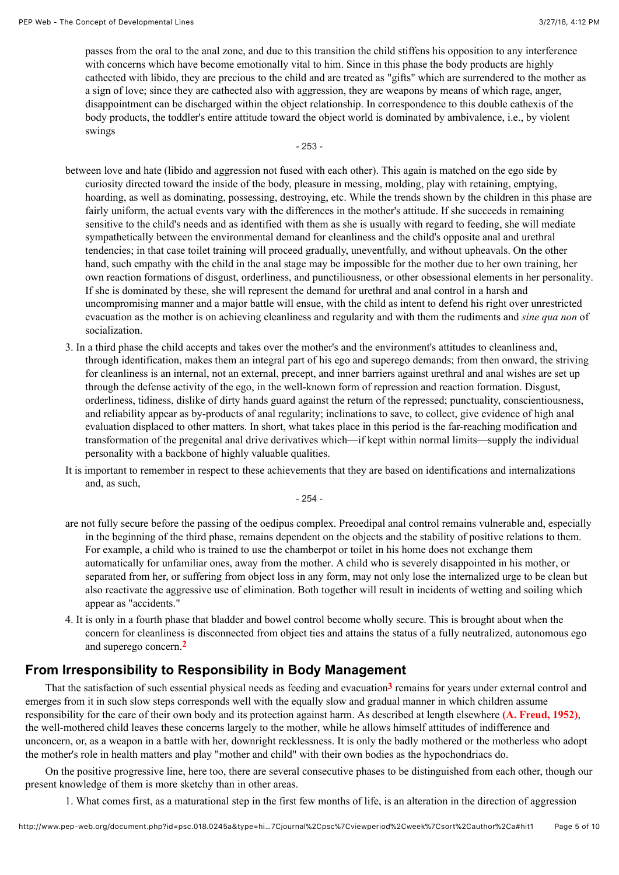passes from the oral to the anal zone, and due to this transition the child stiffens his opposition to any interference with concerns which have become emotionally vital to him. Since in this phase the body products are highly cathected with libido, they are precious to the child and are treated as "gifts" which are surrendered to the mother as a sign of love; since they are cathected also with aggression, they are weapons by means of which rage, anger, disappointment can be discharged within the object relationship. In correspondence to this double cathexis of the body products, the toddler's entire attitude toward the object world is dominated by ambivalence, i.e., by violent swings

- 253 -

- between love and hate (libido and aggression not fused with each other). This again is matched on the ego side by curiosity directed toward the inside of the body, pleasure in messing, molding, play with retaining, emptying, hoarding, as well as dominating, possessing, destroying, etc. While the trends shown by the children in this phase are fairly uniform, the actual events vary with the differences in the mother's attitude. If she succeeds in remaining sensitive to the child's needs and as identified with them as she is usually with regard to feeding, she will mediate sympathetically between the environmental demand for cleanliness and the child's opposite anal and urethral tendencies; in that case toilet training will proceed gradually, uneventfully, and without upheavals. On the other hand, such empathy with the child in the anal stage may be impossible for the mother due to her own training, her own reaction formations of disgust, orderliness, and punctiliousness, or other obsessional elements in her personality. If she is dominated by these, she will represent the demand for urethral and anal control in a harsh and uncompromising manner and a major battle will ensue, with the child as intent to defend his right over unrestricted evacuation as the mother is on achieving cleanliness and regularity and with them the rudiments and *sine qua non* of socialization.
- 3. In a third phase the child accepts and takes over the mother's and the environment's attitudes to cleanliness and, through identification, makes them an integral part of his ego and superego demands; from then onward, the striving for cleanliness is an internal, not an external, precept, and inner barriers against urethral and anal wishes are set up through the defense activity of the ego, in the well-known form of repression and reaction formation. Disgust, orderliness, tidiness, dislike of dirty hands guard against the return of the repressed; punctuality, conscientiousness, and reliability appear as by-products of anal regularity; inclinations to save, to collect, give evidence of high anal evaluation displaced to other matters. In short, what takes place in this period is the far-reaching modification and transformation of the pregenital anal drive derivatives which—if kept within normal limits—supply the individual personality with a backbone of highly valuable qualities.
- It is important to remember in respect to these achievements that they are based on identifications and internalizations and, as such,

- 254 -

- are not fully secure before the passing of the oedipus complex. Preoedipal anal control remains vulnerable and, especially in the beginning of the third phase, remains dependent on the objects and the stability of positive relations to them. For example, a child who is trained to use the chamberpot or toilet in his home does not exchange them automatically for unfamiliar ones, away from the mother. A child who is severely disappointed in his mother, or separated from her, or suffering from object loss in any form, may not only lose the internalized urge to be clean but also reactivate the aggressive use of elimination. Both together will result in incidents of wetting and soiling which appear as "accidents."
- 4. It is only in a fourth phase that bladder and bowel control become wholly secure. This is brought about when the concern for cleanliness is disconnected from object ties and attains the status of a fully neutralized, autonomous ego and superego concern. **2**

## **From Irresponsibility to Responsibility in Body Management**

That the satisfaction of such essential physical needs as feeding and evacuation<sup>3</sup> remains for years under external control and emerges from it in such slow steps corresponds well with the equally slow and gradual manner in which children assume responsibility for the care of their own body and its protection against harm. As described at length elsewhere **(A. Freud, 1952)**, the well-mothered child leaves these concerns largely to the mother, while he allows himself attitudes of indifference and unconcern, or, as a weapon in a battle with her, downright recklessness. It is only the badly mothered or the motherless who adopt the mother's role in health matters and play "mother and child" with their own bodies as the hypochondriacs do.

On the positive progressive line, here too, there are several consecutive phases to be distinguished from each other, though our present knowledge of them is more sketchy than in other areas.

1. What comes first, as a maturational step in the first few months of life, is an alteration in the direction of aggression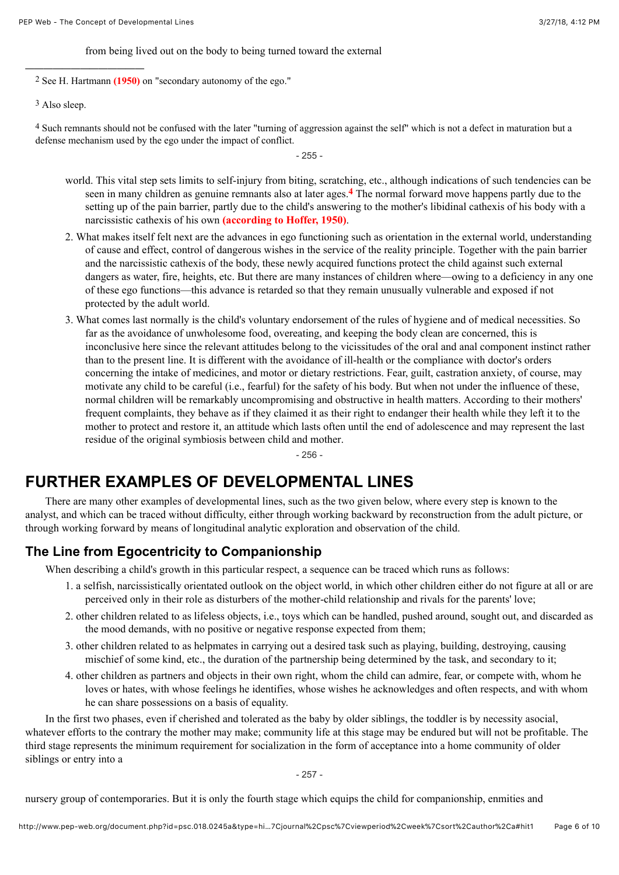from being lived out on the body to being turned toward the external

————————————————————

<sup>4</sup> Such remnants should not be confused with the later "turning of aggression against the self" which is not a defect in maturation but a defense mechanism used by the ego under the impact of conflict.

- 255 -

- world. This vital step sets limits to self-injury from biting, scratching, etc., although indications of such tendencies can be seen in many children as genuine remnants also at later ages.<sup>4</sup> The normal forward move happens partly due to the setting up of the pain barrier, partly due to the child's answering to the mother's libidinal cathexis of his body with a narcissistic cathexis of his own **(according to Hoffer, 1950)**.
- 2. What makes itself felt next are the advances in ego functioning such as orientation in the external world, understanding of cause and effect, control of dangerous wishes in the service of the reality principle. Together with the pain barrier and the narcissistic cathexis of the body, these newly acquired functions protect the child against such external dangers as water, fire, heights, etc. But there are many instances of children where—owing to a deficiency in any one of these ego functions—this advance is retarded so that they remain unusually vulnerable and exposed if not protected by the adult world.
- 3. What comes last normally is the child's voluntary endorsement of the rules of hygiene and of medical necessities. So far as the avoidance of unwholesome food, overeating, and keeping the body clean are concerned, this is inconclusive here since the relevant attitudes belong to the vicissitudes of the oral and anal component instinct rather than to the present line. It is different with the avoidance of ill-health or the compliance with doctor's orders concerning the intake of medicines, and motor or dietary restrictions. Fear, guilt, castration anxiety, of course, may motivate any child to be careful (i.e., fearful) for the safety of his body. But when not under the influence of these, normal children will be remarkably uncompromising and obstructive in health matters. According to their mothers' frequent complaints, they behave as if they claimed it as their right to endanger their health while they left it to the mother to protect and restore it, an attitude which lasts often until the end of adolescence and may represent the last residue of the original symbiosis between child and mother.

 $-256$ 

# **FURTHER EXAMPLES OF DEVELOPMENTAL LINES**

There are many other examples of developmental lines, such as the two given below, where every step is known to the analyst, and which can be traced without difficulty, either through working backward by reconstruction from the adult picture, or through working forward by means of longitudinal analytic exploration and observation of the child.

## **The Line from Egocentricity to Companionship**

When describing a child's growth in this particular respect, a sequence can be traced which runs as follows:

- 1. a selfish, narcissistically orientated outlook on the object world, in which other children either do not figure at all or are perceived only in their role as disturbers of the mother-child relationship and rivals for the parents' love;
- 2. other children related to as lifeless objects, i.e., toys which can be handled, pushed around, sought out, and discarded as the mood demands, with no positive or negative response expected from them;
- 3. other children related to as helpmates in carrying out a desired task such as playing, building, destroying, causing mischief of some kind, etc., the duration of the partnership being determined by the task, and secondary to it;
- 4. other children as partners and objects in their own right, whom the child can admire, fear, or compete with, whom he loves or hates, with whose feelings he identifies, whose wishes he acknowledges and often respects, and with whom he can share possessions on a basis of equality.

In the first two phases, even if cherished and tolerated as the baby by older siblings, the toddler is by necessity asocial, whatever efforts to the contrary the mother may make; community life at this stage may be endured but will not be profitable. The third stage represents the minimum requirement for socialization in the form of acceptance into a home community of older siblings or entry into a

- 257 -

nursery group of contemporaries. But it is only the fourth stage which equips the child for companionship, enmities and

<sup>&</sup>lt;sup>2</sup> See H. Hartmann (1950) on "secondary autonomy of the ego."

<sup>&</sup>lt;sup>3</sup> Also sleep.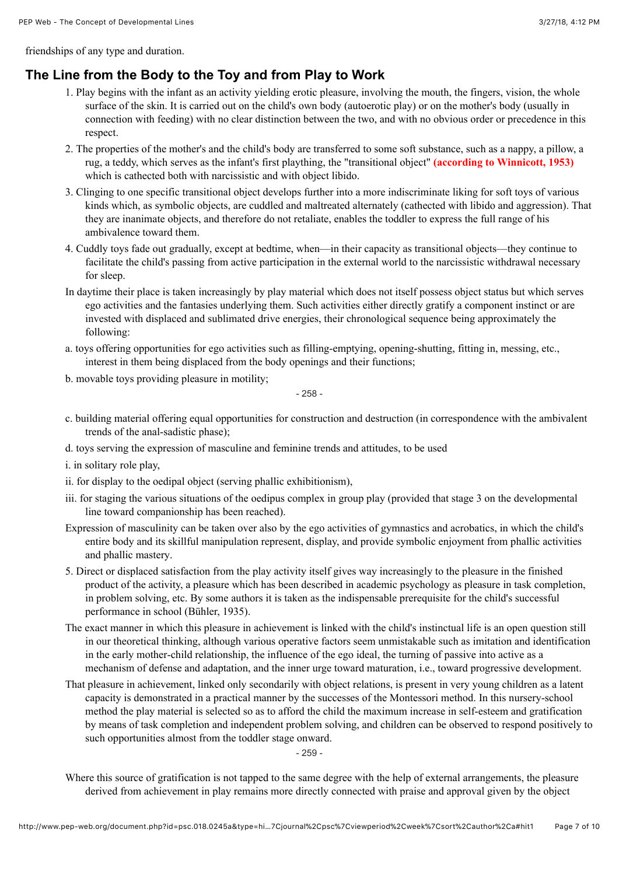friendships of any type and duration.

## **The Line from the Body to the Toy and from Play to Work**

- 1. Play begins with the infant as an activity yielding erotic pleasure, involving the mouth, the fingers, vision, the whole surface of the skin. It is carried out on the child's own body (autoerotic play) or on the mother's body (usually in connection with feeding) with no clear distinction between the two, and with no obvious order or precedence in this respect.
- 2. The properties of the mother's and the child's body are transferred to some soft substance, such as a nappy, a pillow, a rug, a teddy, which serves as the infant's first plaything, the "transitional object" **(according to Winnicott, 1953)** which is cathected both with narcissistic and with object libido.
- 3. Clinging to one specific transitional object develops further into a more indiscriminate liking for soft toys of various kinds which, as symbolic objects, are cuddled and maltreated alternately (cathected with libido and aggression). That they are inanimate objects, and therefore do not retaliate, enables the toddler to express the full range of his ambivalence toward them.
- 4. Cuddly toys fade out gradually, except at bedtime, when—in their capacity as transitional objects—they continue to facilitate the child's passing from active participation in the external world to the narcissistic withdrawal necessary for sleep.
- In daytime their place is taken increasingly by play material which does not itself possess object status but which serves ego activities and the fantasies underlying them. Such activities either directly gratify a component instinct or are invested with displaced and sublimated drive energies, their chronological sequence being approximately the following:
- a. toys offering opportunities for ego activities such as filling-emptying, opening-shutting, fitting in, messing, etc., interest in them being displaced from the body openings and their functions;
- b. movable toys providing pleasure in motility;

- 258 -

- c. building material offering equal opportunities for construction and destruction (in correspondence with the ambivalent trends of the anal-sadistic phase);
- d. toys serving the expression of masculine and feminine trends and attitudes, to be used
- i. in solitary role play,
- ii. for display to the oedipal object (serving phallic exhibitionism),
- iii. for staging the various situations of the oedipus complex in group play (provided that stage 3 on the developmental line toward companionship has been reached).
- Expression of masculinity can be taken over also by the ego activities of gymnastics and acrobatics, in which the child's entire body and its skillful manipulation represent, display, and provide symbolic enjoyment from phallic activities and phallic mastery.
- 5. Direct or displaced satisfaction from the play activity itself gives way increasingly to the pleasure in the finished product of the activity, a pleasure which has been described in academic psychology as pleasure in task completion, in problem solving, etc. By some authors it is taken as the indispensable prerequisite for the child's successful performance in school (Bühler, 1935).
- The exact manner in which this pleasure in achievement is linked with the child's instinctual life is an open question still in our theoretical thinking, although various operative factors seem unmistakable such as imitation and identification in the early mother-child relationship, the influence of the ego ideal, the turning of passive into active as a mechanism of defense and adaptation, and the inner urge toward maturation, i.e., toward progressive development.
- That pleasure in achievement, linked only secondarily with object relations, is present in very young children as a latent capacity is demonstrated in a practical manner by the successes of the Montessori method. In this nursery-school method the play material is selected so as to afford the child the maximum increase in self-esteem and gratification by means of task completion and independent problem solving, and children can be observed to respond positively to such opportunities almost from the toddler stage onward.

- 259 -

Where this source of gratification is not tapped to the same degree with the help of external arrangements, the pleasure derived from achievement in play remains more directly connected with praise and approval given by the object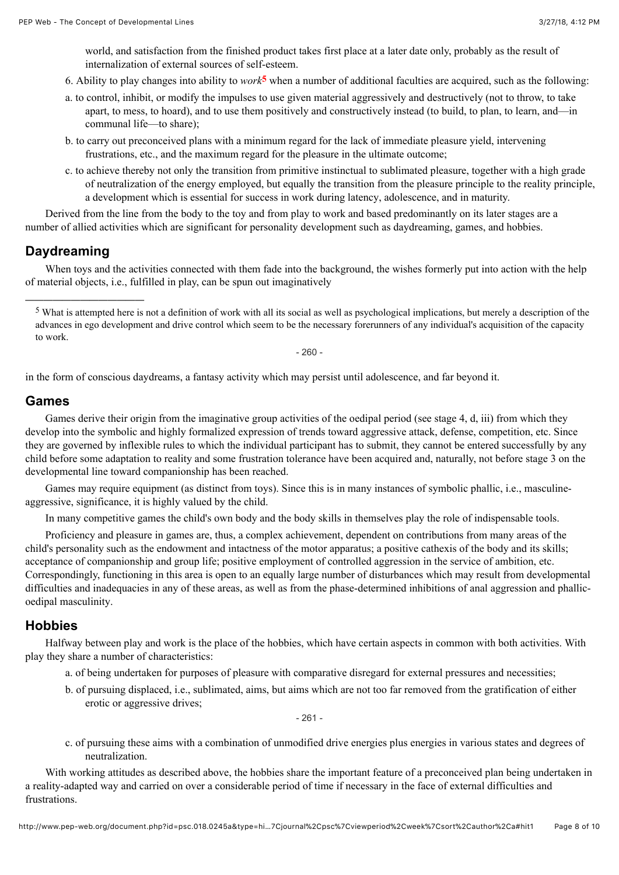world, and satisfaction from the finished product takes first place at a later date only, probably as the result of internalization of external sources of self-esteem.

- 6. Ability to play changes into ability to *work*<sup>5</sup> when a number of additional faculties are acquired, such as the following:
- a. to control, inhibit, or modify the impulses to use given material aggressively and destructively (not to throw, to take apart, to mess, to hoard), and to use them positively and constructively instead (to build, to plan, to learn, and—in communal life—to share);
- b. to carry out preconceived plans with a minimum regard for the lack of immediate pleasure yield, intervening frustrations, etc., and the maximum regard for the pleasure in the ultimate outcome;
- c. to achieve thereby not only the transition from primitive instinctual to sublimated pleasure, together with a high grade of neutralization of the energy employed, but equally the transition from the pleasure principle to the reality principle, a development which is essential for success in work during latency, adolescence, and in maturity.

Derived from the line from the body to the toy and from play to work and based predominantly on its later stages are a number of allied activities which are significant for personality development such as daydreaming, games, and hobbies.

### **Daydreaming**

————————————————————

When toys and the activities connected with them fade into the background, the wishes formerly put into action with the help of material objects, i.e., fulfilled in play, can be spun out imaginatively

 $-260 -$ 

in the form of conscious daydreams, a fantasy activity which may persist until adolescence, and far beyond it.

### **Games**

Games derive their origin from the imaginative group activities of the oedipal period (see stage 4, d, iii) from which they develop into the symbolic and highly formalized expression of trends toward aggressive attack, defense, competition, etc. Since they are governed by inflexible rules to which the individual participant has to submit, they cannot be entered successfully by any child before some adaptation to reality and some frustration tolerance have been acquired and, naturally, not before stage 3 on the developmental line toward companionship has been reached.

Games may require equipment (as distinct from toys). Since this is in many instances of symbolic phallic, i.e., masculineaggressive, significance, it is highly valued by the child.

In many competitive games the child's own body and the body skills in themselves play the role of indispensable tools.

Proficiency and pleasure in games are, thus, a complex achievement, dependent on contributions from many areas of the child's personality such as the endowment and intactness of the motor apparatus; a positive cathexis of the body and its skills; acceptance of companionship and group life; positive employment of controlled aggression in the service of ambition, etc. Correspondingly, functioning in this area is open to an equally large number of disturbances which may result from developmental difficulties and inadequacies in any of these areas, as well as from the phase-determined inhibitions of anal aggression and phallicoedipal masculinity.

### **Hobbies**

Halfway between play and work is the place of the hobbies, which have certain aspects in common with both activities. With play they share a number of characteristics:

- a. of being undertaken for purposes of pleasure with comparative disregard for external pressures and necessities;
- b. of pursuing displaced, i.e., sublimated, aims, but aims which are not too far removed from the gratification of either erotic or aggressive drives;

- 261 -

c. of pursuing these aims with a combination of unmodified drive energies plus energies in various states and degrees of neutralization.

With working attitudes as described above, the hobbies share the important feature of a preconceived plan being undertaken in a reality-adapted way and carried on over a considerable period of time if necessary in the face of external difficulties and frustrations.

<sup>&</sup>lt;sup>5</sup> What is attempted here is not a definition of work with all its social as well as psychological implications, but merely a description of the advances in ego development and drive control which seem to be the necessary forerunners of any individual's acquisition of the capacity to work.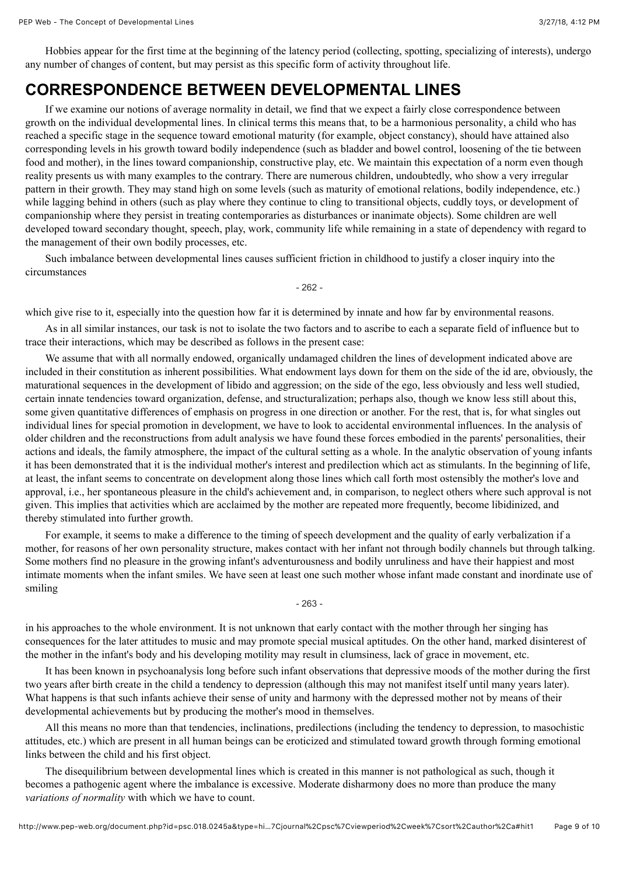Hobbies appear for the first time at the beginning of the latency period (collecting, spotting, specializing of interests), undergo any number of changes of content, but may persist as this specific form of activity throughout life.

## **CORRESPONDENCE BETWEEN DEVELOPMENTAL LINES**

If we examine our notions of average normality in detail, we find that we expect a fairly close correspondence between growth on the individual developmental lines. In clinical terms this means that, to be a harmonious personality, a child who has reached a specific stage in the sequence toward emotional maturity (for example, object constancy), should have attained also corresponding levels in his growth toward bodily independence (such as bladder and bowel control, loosening of the tie between food and mother), in the lines toward companionship, constructive play, etc. We maintain this expectation of a norm even though reality presents us with many examples to the contrary. There are numerous children, undoubtedly, who show a very irregular pattern in their growth. They may stand high on some levels (such as maturity of emotional relations, bodily independence, etc.) while lagging behind in others (such as play where they continue to cling to transitional objects, cuddly toys, or development of companionship where they persist in treating contemporaries as disturbances or inanimate objects). Some children are well developed toward secondary thought, speech, play, work, community life while remaining in a state of dependency with regard to the management of their own bodily processes, etc.

Such imbalance between developmental lines causes sufficient friction in childhood to justify a closer inquiry into the circumstances

- 262 -

which give rise to it, especially into the question how far it is determined by innate and how far by environmental reasons.

As in all similar instances, our task is not to isolate the two factors and to ascribe to each a separate field of influence but to trace their interactions, which may be described as follows in the present case:

We assume that with all normally endowed, organically undamaged children the lines of development indicated above are included in their constitution as inherent possibilities. What endowment lays down for them on the side of the id are, obviously, the maturational sequences in the development of libido and aggression; on the side of the ego, less obviously and less well studied, certain innate tendencies toward organization, defense, and structuralization; perhaps also, though we know less still about this, some given quantitative differences of emphasis on progress in one direction or another. For the rest, that is, for what singles out individual lines for special promotion in development, we have to look to accidental environmental influences. In the analysis of older children and the reconstructions from adult analysis we have found these forces embodied in the parents' personalities, their actions and ideals, the family atmosphere, the impact of the cultural setting as a whole. In the analytic observation of young infants it has been demonstrated that it is the individual mother's interest and predilection which act as stimulants. In the beginning of life, at least, the infant seems to concentrate on development along those lines which call forth most ostensibly the mother's love and approval, i.e., her spontaneous pleasure in the child's achievement and, in comparison, to neglect others where such approval is not given. This implies that activities which are acclaimed by the mother are repeated more frequently, become libidinized, and thereby stimulated into further growth.

For example, it seems to make a difference to the timing of speech development and the quality of early verbalization if a mother, for reasons of her own personality structure, makes contact with her infant not through bodily channels but through talking. Some mothers find no pleasure in the growing infant's adventurousness and bodily unruliness and have their happiest and most intimate moments when the infant smiles. We have seen at least one such mother whose infant made constant and inordinate use of smiling

- 263 -

in his approaches to the whole environment. It is not unknown that early contact with the mother through her singing has consequences for the later attitudes to music and may promote special musical aptitudes. On the other hand, marked disinterest of the mother in the infant's body and his developing motility may result in clumsiness, lack of grace in movement, etc.

It has been known in psychoanalysis long before such infant observations that depressive moods of the mother during the first two years after birth create in the child a tendency to depression (although this may not manifest itself until many years later). What happens is that such infants achieve their sense of unity and harmony with the depressed mother not by means of their developmental achievements but by producing the mother's mood in themselves.

All this means no more than that tendencies, inclinations, predilections (including the tendency to depression, to masochistic attitudes, etc.) which are present in all human beings can be eroticized and stimulated toward growth through forming emotional links between the child and his first object.

The disequilibrium between developmental lines which is created in this manner is not pathological as such, though it becomes a pathogenic agent where the imbalance is excessive. Moderate disharmony does no more than produce the many *variations of normality* with which we have to count.